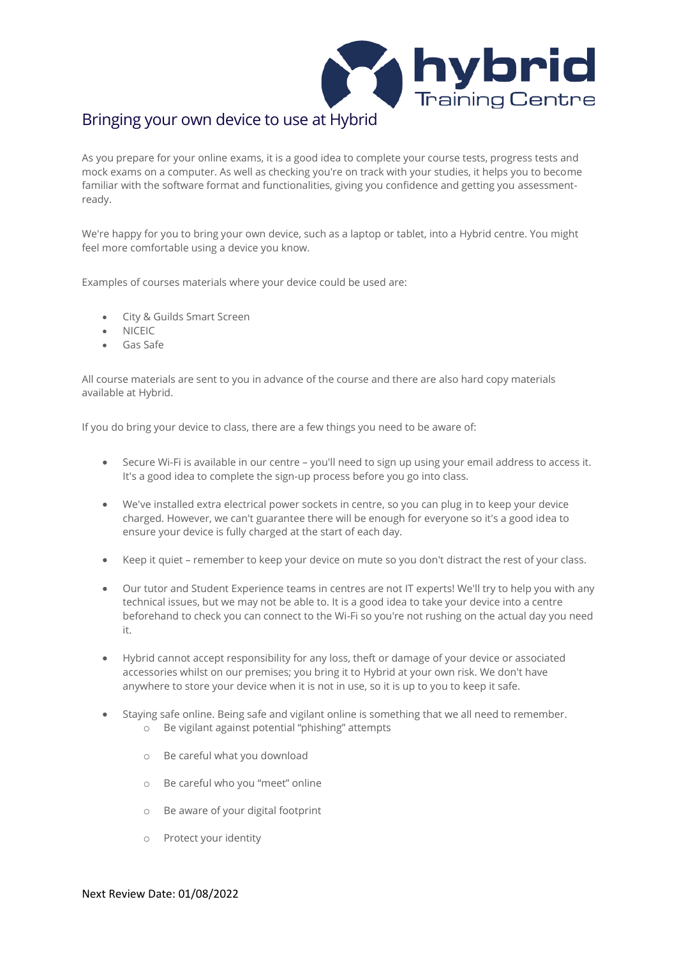

## Bringing your own device to use at Hybrid

As you prepare for your online exams, it is a good idea to complete your course tests, progress tests and mock exams on a computer. As well as checking you're on track with your studies, it helps you to become familiar with the software format and functionalities, giving you confidence and getting you assessmentready.

We're happy for you to bring your own device, such as a laptop or tablet, into a Hybrid centre. You might feel more comfortable using a device you know.

Examples of courses materials where your device could be used are:

- City & Guilds Smart Screen
- NICEIC
- Gas Safe

All course materials are sent to you in advance of the course and there are also hard copy materials available at Hybrid.

If you do bring your device to class, there are a few things you need to be aware of:

- Secure Wi-Fi is available in our centre you'll need to sign up using your email address to access it. It's a good idea to complete the sign-up process before you go into class.
- We've installed extra electrical power sockets in centre, so you can plug in to keep your device charged. However, we can't guarantee there will be enough for everyone so it's a good idea to ensure your device is fully charged at the start of each day.
- Keep it quiet remember to keep your device on mute so you don't distract the rest of your class.
- Our tutor and Student Experience teams in centres are not IT experts! We'll try to help you with any technical issues, but we may not be able to. It is a good idea to take your device into a centre beforehand to check you can connect to the Wi-Fi so you're not rushing on the actual day you need it.
- Hybrid cannot accept responsibility for any loss, theft or damage of your device or associated accessories whilst on our premises; you bring it to Hybrid at your own risk. We don't have anywhere to store your device when it is not in use, so it is up to you to keep it safe.
- Staying safe online. Being safe and vigilant online is something that we all need to remember. o Be vigilant against potential "phishing" attempts
	- o Be careful what you download
	- o Be careful who you "meet" online
	- o Be aware of your digital footprint
	- o Protect your identity